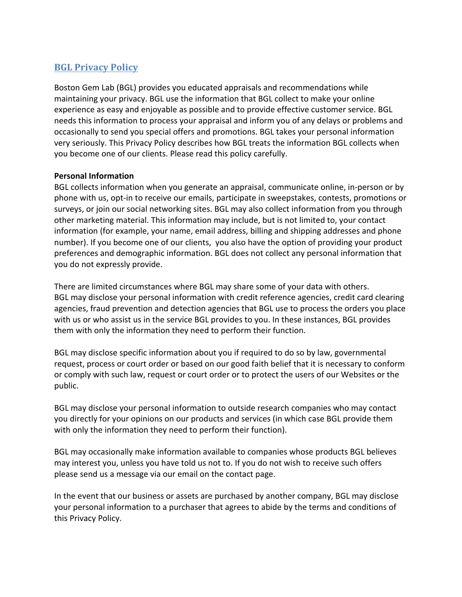# **BGL Privacy Policy**

Boston Gem Lab (BGL) provides you educated appraisals and recommendations while maintaining your privacy. BGL use the information that BGL collect to make your online experience as easy and enjoyable as possible and to provide effective customer service. BGL needs this information to process your appraisal and inform you of any delays or problems and occasionally to send you special offers and promotions. BGL takes your personal information very seriously. This Privacy Policy describes how BGL treats the information BGL collects when you become one of our clients. Please read this policy carefully.

## **Personal Information**

BGL collects information when you generate an appraisal, communicate online, in-person or by phone with us, opt-in to receive our emails, participate in sweepstakes, contests, promotions or surveys, or join our social networking sites. BGL may also collect information from you through other marketing material. This information may include, but is not limited to, your contact information (for example, your name, email address, billing and shipping addresses and phone number). If you become one of our clients, you also have the option of providing your product preferences and demographic information. BGL does not collect any personal information that you do not expressly provide.

There are limited circumstances where BGL may share some of your data with others. BGL may disclose your personal information with credit reference agencies, credit card clearing agencies, fraud prevention and detection agencies that BGL use to process the orders you place with us or who assist us in the service BGL provides to you. In these instances, BGL provides them with only the information they need to perform their function.

BGL may disclose specific information about you if required to do so by law, governmental request, process or court order or based on our good faith belief that it is necessary to conform or comply with such law, request or court order or to protect the users of our Websites or the public.

BGL may disclose your personal information to outside research companies who may contact you directly for your opinions on our products and services (in which case BGL provide them with only the information they need to perform their function).

BGL may occasionally make information available to companies whose products BGL believes may interest you, unless you have told us not to. If you do not wish to receive such offers please send us a message via our email on the contact page.

In the event that our business or assets are purchased by another company, BGL may disclose your personal information to a purchaser that agrees to abide by the terms and conditions of this Privacy Policy.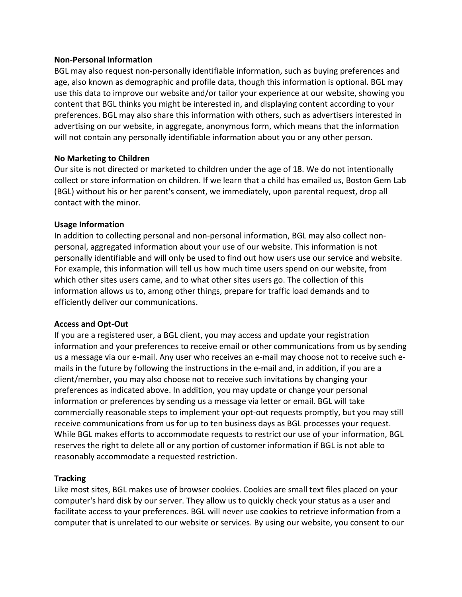#### **Non-Personal Information**

BGL may also request non-personally identifiable information, such as buying preferences and age, also known as demographic and profile data, though this information is optional. BGL may use this data to improve our website and/or tailor your experience at our website, showing you content that BGL thinks you might be interested in, and displaying content according to your preferences. BGL may also share this information with others, such as advertisers interested in advertising on our website, in aggregate, anonymous form, which means that the information will not contain any personally identifiable information about you or any other person.

## **No Marketing to Children**

Our site is not directed or marketed to children under the age of 18. We do not intentionally collect or store information on children. If we learn that a child has emailed us, Boston Gem Lab (BGL) without his or her parent's consent, we immediately, upon parental request, drop all contact with the minor.

## **Usage Information**

In addition to collecting personal and non-personal information, BGL may also collect nonpersonal, aggregated information about your use of our website. This information is not personally identifiable and will only be used to find out how users use our service and website. For example, this information will tell us how much time users spend on our website, from which other sites users came, and to what other sites users go. The collection of this information allows us to, among other things, prepare for traffic load demands and to efficiently deliver our communications.

### **Access and Opt-Out**

If you are a registered user, a BGL client, you may access and update your registration information and your preferences to receive email or other communications from us by sending us a message via our e-mail. Any user who receives an e-mail may choose not to receive such emails in the future by following the instructions in the e-mail and, in addition, if you are a client/member, you may also choose not to receive such invitations by changing your preferences as indicated above. In addition, you may update or change your personal information or preferences by sending us a message via letter or email. BGL will take commercially reasonable steps to implement your opt-out requests promptly, but you may still receive communications from us for up to ten business days as BGL processes your request. While BGL makes efforts to accommodate requests to restrict our use of your information, BGL reserves the right to delete all or any portion of customer information if BGL is not able to reasonably accommodate a requested restriction.

### **Tracking**

Like most sites, BGL makes use of browser cookies. Cookies are small text files placed on your computer's hard disk by our server. They allow us to quickly check your status as a user and facilitate access to your preferences. BGL will never use cookies to retrieve information from a computer that is unrelated to our website or services. By using our website, you consent to our